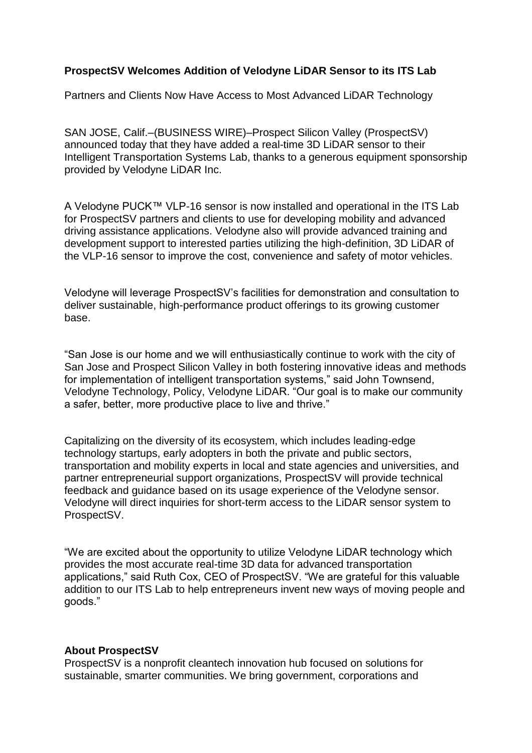## **ProspectSV Welcomes Addition of Velodyne LiDAR Sensor to its ITS Lab**

Partners and Clients Now Have Access to Most Advanced LiDAR Technology

SAN JOSE, Calif.–(BUSINESS WIRE)–Prospect Silicon Valley (ProspectSV) announced today that they have added a real-time 3D LiDAR sensor to their Intelligent Transportation Systems Lab, thanks to a generous equipment sponsorship provided by Velodyne LiDAR Inc.

A Velodyne PUCK™ VLP-16 sensor is now installed and operational in the ITS Lab for ProspectSV partners and clients to use for developing mobility and advanced driving assistance applications. Velodyne also will provide advanced training and development support to interested parties utilizing the high-definition, 3D LiDAR of the VLP-16 sensor to improve the cost, convenience and safety of motor vehicles.

Velodyne will leverage ProspectSV's facilities for demonstration and consultation to deliver sustainable, high-performance product offerings to its growing customer base.

"San Jose is our home and we will enthusiastically continue to work with the city of San Jose and Prospect Silicon Valley in both fostering innovative ideas and methods for implementation of intelligent transportation systems," said John Townsend, Velodyne Technology, Policy, Velodyne LiDAR. "Our goal is to make our community a safer, better, more productive place to live and thrive."

Capitalizing on the diversity of its ecosystem, which includes leading-edge technology startups, early adopters in both the private and public sectors, transportation and mobility experts in local and state agencies and universities, and partner entrepreneurial support organizations, ProspectSV will provide technical feedback and guidance based on its usage experience of the Velodyne sensor. Velodyne will direct inquiries for short-term access to the LiDAR sensor system to ProspectSV.

"We are excited about the opportunity to utilize Velodyne LiDAR technology which provides the most accurate real-time 3D data for advanced transportation applications," said Ruth Cox, CEO of ProspectSV. "We are grateful for this valuable addition to our ITS Lab to help entrepreneurs invent new ways of moving people and goods."

## **About ProspectSV**

ProspectSV is a nonprofit cleantech innovation hub focused on solutions for sustainable, smarter communities. We bring government, corporations and